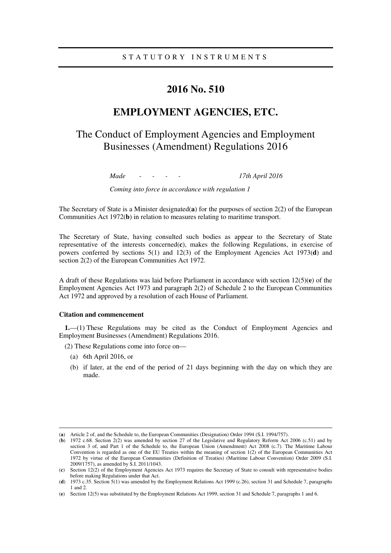## **2016 No. 510**

## **EMPLOYMENT AGENCIES, ETC.**

# The Conduct of Employment Agencies and Employment Businesses (Amendment) Regulations 2016

*Made - - - - 17th April 2016* 

*Coming into force in accordance with regulation 1* 

The Secretary of State is a Minister designated(**a**) for the purposes of section 2(2) of the European Communities Act 1972(**b**) in relation to measures relating to maritime transport.

The Secretary of State, having consulted such bodies as appear to the Secretary of State representative of the interests concerned(**c**), makes the following Regulations, in exercise of powers conferred by sections 5(1) and 12(3) of the Employment Agencies Act 1973(**d**) and section 2(2) of the European Communities Act 1972.

A draft of these Regulations was laid before Parliament in accordance with section 12(5)(**e**) of the Employment Agencies Act 1973 and paragraph 2(2) of Schedule 2 to the European Communities Act 1972 and approved by a resolution of each House of Parliament.

### **Citation and commencement**

**1.**—(1) These Regulations may be cited as the Conduct of Employment Agencies and Employment Businesses (Amendment) Regulations 2016.

(2) These Regulations come into force on—

(a) 6th April 2016, or

<u>.</u>

(b) if later, at the end of the period of 21 days beginning with the day on which they are made.

<sup>(</sup>**a**) Article 2 of, and the Schedule to, the European Communities (Designation) Order 1994 (S.I. 1994/757).

<sup>(</sup>**b**) 1972 c.68. Section 2(2) was amended by section 27 of the Legislative and Regulatory Reform Act 2006 (c.51) and by section 3 of, and Part 1 of the Schedule to, the European Union (Amendment) Act 2008 (c.7). The Maritime Labour Convention is regarded as one of the EU Treaties within the meaning of section 1(2) of the European Communities Act 1972 by virtue of the European Communities (Definition of Treaties) (Maritime Labour Convention) Order 2009 (S.I. 2009/1757), as amended by S.I. 2011/1043.

<sup>(</sup>**c**) Section 12(2) of the Employment Agencies Act 1973 requires the Secretary of State to consult with representative bodies before making Regulations under that Act.

<sup>(</sup>**d**) 1973 c.35. Section 5(1) was amended by the Employment Relations Act 1999 (c.26), section 31 and Schedule 7, paragraphs 1 and 2.

<sup>(</sup>**e**) Section 12(5) was substituted by the Employment Relations Act 1999, section 31 and Schedule 7, paragraphs 1 and 6.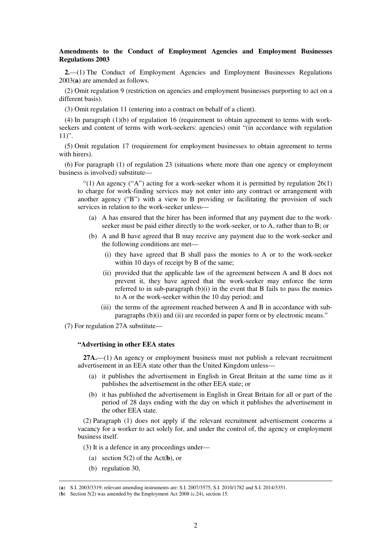## **Amendments to the Conduct of Employment Agencies and Employment Businesses Regulations 2003**

**2.**—(1) The Conduct of Employment Agencies and Employment Businesses Regulations 2003(**a**) are amended as follows.

(2) Omit regulation 9 (restriction on agencies and employment businesses purporting to act on a different basis).

(3) Omit regulation 11 (entering into a contract on behalf of a client).

(4) In paragraph (1)(b) of regulation 16 (requirement to obtain agreement to terms with workseekers and content of terms with work-seekers: agencies) omit "(in accordance with regulation  $11$ ".

(5) Omit regulation 17 (requirement for employment businesses to obtain agreement to terms with hirers).

(6) For paragraph (1) of regulation 23 (situations where more than one agency or employment business is involved) substitute—

"(1) An agency ("A") acting for a work-seeker whom it is permitted by regulation  $26(1)$ to charge for work-finding services may not enter into any contract or arrangement with another agency ("B") with a view to B providing or facilitating the provision of such services in relation to the work-seeker unless—

- (a) A has ensured that the hirer has been informed that any payment due to the workseeker must be paid either directly to the work-seeker, or to A, rather than to B; or
- (b) A and B have agreed that B may receive any payment due to the work-seeker and the following conditions are met—
	- (i) they have agreed that B shall pass the monies to A or to the work-seeker within 10 days of receipt by B of the same;
	- (ii) provided that the applicable law of the agreement between A and B does not prevent it, they have agreed that the work-seeker may enforce the term referred to in sub-paragraph  $(b)(i)$  in the event that B fails to pass the monies to A or the work-seeker within the 10 day period; and
	- (iii) the terms of the agreement reached between A and B in accordance with subparagraphs (b)(i) and (ii) are recorded in paper form or by electronic means."

(7) For regulation 27A substitute—

### **"Advertising in other EEA states**

**27A.**—(1) An agency or employment business must not publish a relevant recruitment advertisement in an EEA state other than the United Kingdom unless—

- (a) it publishes the advertisement in English in Great Britain at the same time as it publishes the advertisement in the other EEA state; or
- (b) it has published the advertisement in English in Great Britain for all or part of the period of 28 days ending with the day on which it publishes the advertisement in the other EEA state.

(2) Paragraph (1) does not apply if the relevant recruitment advertisement concerns a vacancy for a worker to act solely for, and under the control of, the agency or employment business itself.

(3) It is a defence in any proceedings under—

- (a) section 5(2) of the Act(**b**), or
- (b) regulation 30,

<u>.</u>

<sup>(</sup>**a**) S.I. 2003/3319; relevant amending instruments are: S.I. 2007/3575, S.I. 2010/1782 and S.I. 2014/3351.

<sup>(</sup>**b**) Section 5(2) was amended by the Employment Act 2008 (c.24), section 15.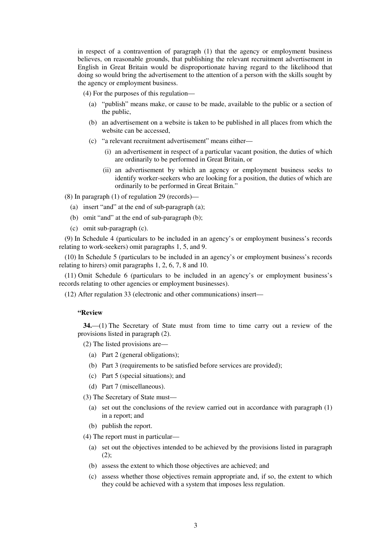in respect of a contravention of paragraph (1) that the agency or employment business believes, on reasonable grounds, that publishing the relevant recruitment advertisement in English in Great Britain would be disproportionate having regard to the likelihood that doing so would bring the advertisement to the attention of a person with the skills sought by the agency or employment business.

(4) For the purposes of this regulation—

- (a) "publish" means make, or cause to be made, available to the public or a section of the public,
- (b) an advertisement on a website is taken to be published in all places from which the website can be accessed,
- (c) "a relevant recruitment advertisement" means either—
	- (i) an advertisement in respect of a particular vacant position, the duties of which are ordinarily to be performed in Great Britain, or
	- (ii) an advertisement by which an agency or employment business seeks to identify worker-seekers who are looking for a position, the duties of which are ordinarily to be performed in Great Britain."

(8) In paragraph (1) of regulation 29 (records)—

- (a) insert "and" at the end of sub-paragraph (a);
- (b) omit "and" at the end of sub-paragraph (b);
- (c) omit sub-paragraph (c).

(9) In Schedule 4 (particulars to be included in an agency's or employment business's records relating to work-seekers) omit paragraphs 1, 5, and 9.

(10) In Schedule 5 (particulars to be included in an agency's or employment business's records relating to hirers) omit paragraphs 1, 2, 6, 7, 8 and 10.

(11) Omit Schedule 6 (particulars to be included in an agency's or employment business's records relating to other agencies or employment businesses).

(12) After regulation 33 (electronic and other communications) insert—

## **"Review**

**34.**—(1) The Secretary of State must from time to time carry out a review of the provisions listed in paragraph (2).

(2) The listed provisions are—

- (a) Part 2 (general obligations);
- (b) Part 3 (requirements to be satisfied before services are provided);
- (c) Part 5 (special situations); and
- (d) Part 7 (miscellaneous).

(3) The Secretary of State must—

- (a) set out the conclusions of the review carried out in accordance with paragraph (1) in a report; and
- (b) publish the report.
- (4) The report must in particular—
	- (a) set out the objectives intended to be achieved by the provisions listed in paragraph (2);
	- (b) assess the extent to which those objectives are achieved; and
	- (c) assess whether those objectives remain appropriate and, if so, the extent to which they could be achieved with a system that imposes less regulation.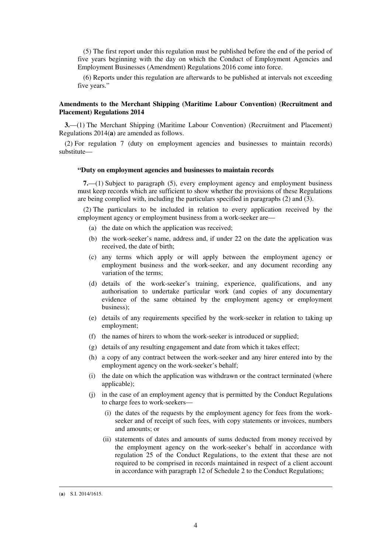(5) The first report under this regulation must be published before the end of the period of five years beginning with the day on which the Conduct of Employment Agencies and Employment Businesses (Amendment) Regulations 2016 come into force.

(6) Reports under this regulation are afterwards to be published at intervals not exceeding five years."

## **Amendments to the Merchant Shipping (Maritime Labour Convention) (Recruitment and Placement) Regulations 2014**

**3.**—(1) The Merchant Shipping (Maritime Labour Convention) (Recruitment and Placement) Regulations 2014(**a**) are amended as follows.

(2) For regulation 7 (duty on employment agencies and businesses to maintain records) substitute—

#### **"Duty on employment agencies and businesses to maintain records**

**7.**—(1) Subject to paragraph (5), every employment agency and employment business must keep records which are sufficient to show whether the provisions of these Regulations are being complied with, including the particulars specified in paragraphs (2) and (3).

(2) The particulars to be included in relation to every application received by the employment agency or employment business from a work-seeker are—

- (a) the date on which the application was received;
- (b) the work-seeker's name, address and, if under 22 on the date the application was received, the date of birth;
- (c) any terms which apply or will apply between the employment agency or employment business and the work-seeker, and any document recording any variation of the terms;
- (d) details of the work-seeker's training, experience, qualifications, and any authorisation to undertake particular work (and copies of any documentary evidence of the same obtained by the employment agency or employment business);
- (e) details of any requirements specified by the work-seeker in relation to taking up employment;
- (f) the names of hirers to whom the work-seeker is introduced or supplied;
- (g) details of any resulting engagement and date from which it takes effect;
- (h) a copy of any contract between the work-seeker and any hirer entered into by the employment agency on the work-seeker's behalf;
- (i) the date on which the application was withdrawn or the contract terminated (where applicable);
- (j) in the case of an employment agency that is permitted by the Conduct Regulations to charge fees to work-seekers—
	- (i) the dates of the requests by the employment agency for fees from the workseeker and of receipt of such fees, with copy statements or invoices, numbers and amounts; or
	- (ii) statements of dates and amounts of sums deducted from money received by the employment agency on the work-seeker's behalf in accordance with regulation 25 of the Conduct Regulations, to the extent that these are not required to be comprised in records maintained in respect of a client account in accordance with paragraph 12 of Schedule 2 to the Conduct Regulations;

<u>.</u>

<sup>(</sup>**a**) S.I. 2014/1615.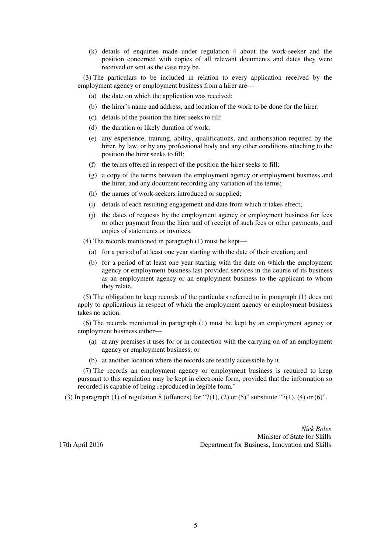(k) details of enquiries made under regulation 4 about the work-seeker and the position concerned with copies of all relevant documents and dates they were received or sent as the case may be.

(3) The particulars to be included in relation to every application received by the employment agency or employment business from a hirer are—

- (a) the date on which the application was received;
- (b) the hirer's name and address, and location of the work to be done for the hirer;
- (c) details of the position the hirer seeks to fill;
- (d) the duration or likely duration of work;
- (e) any experience, training, ability, qualifications, and authorisation required by the hirer, by law, or by any professional body and any other conditions attaching to the position the hirer seeks to fill;
- (f) the terms offered in respect of the position the hirer seeks to fill;
- (g) a copy of the terms between the employment agency or employment business and the hirer, and any document recording any variation of the terms;
- (h) the names of work-seekers introduced or supplied;
- (i) details of each resulting engagement and date from which it takes effect;
- (j) the dates of requests by the employment agency or employment business for fees or other payment from the hirer and of receipt of such fees or other payments, and copies of statements or invoices.

(4) The records mentioned in paragraph (1) must be kept—

- (a) for a period of at least one year starting with the date of their creation; and
- (b) for a period of at least one year starting with the date on which the employment agency or employment business last provided services in the course of its business as an employment agency or an employment business to the applicant to whom they relate.

(5) The obligation to keep records of the particulars referred to in paragraph (1) does not apply to applications in respect of which the employment agency or employment business takes no action.

(6) The records mentioned in paragraph (1) must be kept by an employment agency or employment business either—

- (a) at any premises it uses for or in connection with the carrying on of an employment agency or employment business; or
- (b) at another location where the records are readily accessible by it.

(7) The records an employment agency or employment business is required to keep pursuant to this regulation may be kept in electronic form, provided that the information so recorded is capable of being reproduced in legible form."

(3) In paragraph (1) of regulation 8 (offences) for "7(1), (2) or (5)" substitute "7(1), (4) or (6)".

*Nick Boles* Minister of State for Skills 17th April 2016 Department for Business, Innovation and Skills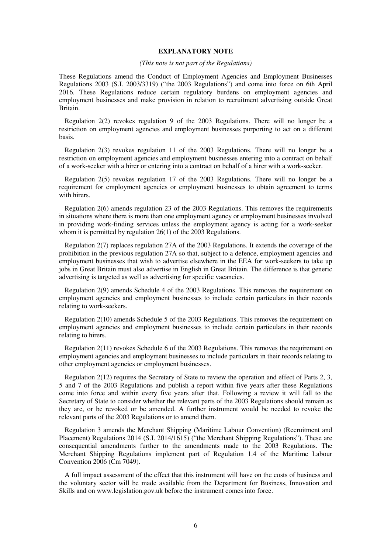### **EXPLANATORY NOTE**

### *(This note is not part of the Regulations)*

These Regulations amend the Conduct of Employment Agencies and Employment Businesses Regulations 2003 (S.I. 2003/3319) ("the 2003 Regulations") and come into force on 6th April 2016. These Regulations reduce certain regulatory burdens on employment agencies and employment businesses and make provision in relation to recruitment advertising outside Great Britain.

Regulation 2(2) revokes regulation 9 of the 2003 Regulations. There will no longer be a restriction on employment agencies and employment businesses purporting to act on a different basis.

Regulation 2(3) revokes regulation 11 of the 2003 Regulations. There will no longer be a restriction on employment agencies and employment businesses entering into a contract on behalf of a work-seeker with a hirer or entering into a contract on behalf of a hirer with a work-seeker.

Regulation 2(5) revokes regulation 17 of the 2003 Regulations. There will no longer be a requirement for employment agencies or employment businesses to obtain agreement to terms with hirers.

Regulation 2(6) amends regulation 23 of the 2003 Regulations. This removes the requirements in situations where there is more than one employment agency or employment businesses involved in providing work-finding services unless the employment agency is acting for a work-seeker whom it is permitted by regulation 26(1) of the 2003 Regulations.

Regulation 2(7) replaces regulation 27A of the 2003 Regulations. It extends the coverage of the prohibition in the previous regulation 27A so that, subject to a defence, employment agencies and employment businesses that wish to advertise elsewhere in the EEA for work-seekers to take up jobs in Great Britain must also advertise in English in Great Britain. The difference is that generic advertising is targeted as well as advertising for specific vacancies.

Regulation 2(9) amends Schedule 4 of the 2003 Regulations. This removes the requirement on employment agencies and employment businesses to include certain particulars in their records relating to work-seekers.

Regulation 2(10) amends Schedule 5 of the 2003 Regulations. This removes the requirement on employment agencies and employment businesses to include certain particulars in their records relating to hirers.

Regulation 2(11) revokes Schedule 6 of the 2003 Regulations. This removes the requirement on employment agencies and employment businesses to include particulars in their records relating to other employment agencies or employment businesses.

Regulation 2(12) requires the Secretary of State to review the operation and effect of Parts 2, 3, 5 and 7 of the 2003 Regulations and publish a report within five years after these Regulations come into force and within every five years after that. Following a review it will fall to the Secretary of State to consider whether the relevant parts of the 2003 Regulations should remain as they are, or be revoked or be amended. A further instrument would be needed to revoke the relevant parts of the 2003 Regulations or to amend them.

Regulation 3 amends the Merchant Shipping (Maritime Labour Convention) (Recruitment and Placement) Regulations 2014 (S.I. 2014/1615) ("the Merchant Shipping Regulations"). These are consequential amendments further to the amendments made to the 2003 Regulations. The Merchant Shipping Regulations implement part of Regulation 1.4 of the Maritime Labour Convention 2006 (Cm 7049).

A full impact assessment of the effect that this instrument will have on the costs of business and the voluntary sector will be made available from the Department for Business, Innovation and Skills and on www.legislation.gov.uk before the instrument comes into force.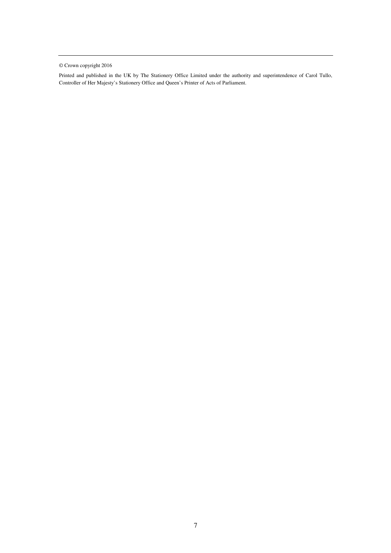© Crown copyright 2016

Printed and published in the UK by The Stationery Office Limited under the authority and superintendence of Carol Tullo, Controller of Her Majesty's Stationery Office and Queen's Printer of Acts of Parliament.